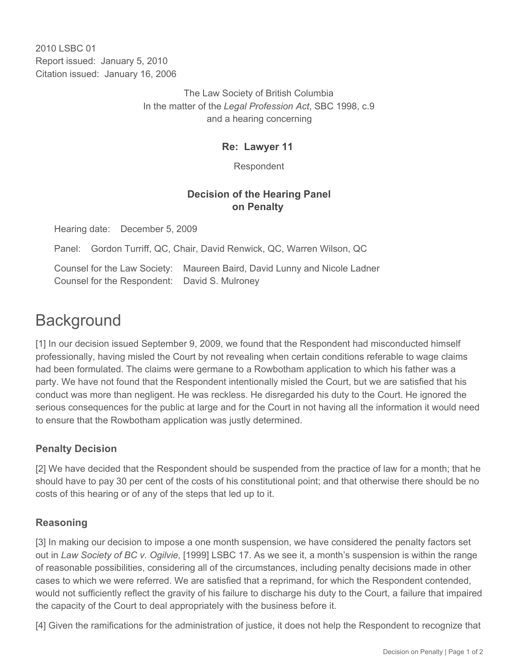2010 LSBC 01 Report issued: January 5, 2010 Citation issued: January 16, 2006

> The Law Society of British Columbia In the matter of the *Legal Profession Act*, SBC 1998, c.9 and a hearing concerning

### **Re: Lawyer 11**

Respondent

## **Decision of the Hearing Panel on Penalty**

Hearing date: December 5, 2009

Panel: Gordon Turriff, QC, Chair, David Renwick, QC, Warren Wilson, QC

Counsel for the Law Society: Maureen Baird, David Lunny and Nicole Ladner Counsel for the Respondent: David S. Mulroney

# **Background**

[1] In our decision issued September 9, 2009, we found that the Respondent had misconducted himself professionally, having misled the Court by not revealing when certain conditions referable to wage claims had been formulated. The claims were germane to a Rowbotham application to which his father was a party. We have not found that the Respondent intentionally misled the Court, but we are satisfied that his conduct was more than negligent. He was reckless. He disregarded his duty to the Court. He ignored the serious consequences for the public at large and for the Court in not having all the information it would need to ensure that the Rowbotham application was justly determined.

### **Penalty Decision**

[2] We have decided that the Respondent should be suspended from the practice of law for a month; that he should have to pay 30 per cent of the costs of his constitutional point; and that otherwise there should be no costs of this hearing or of any of the steps that led up to it.

#### **Reasoning**

[3] In making our decision to impose a one month suspension, we have considered the penalty factors set out in *Law Society of BC v. Ogilvie*, [1999] LSBC 17. As we see it, a month's suspension is within the range of reasonable possibilities, considering all of the circumstances, including penalty decisions made in other cases to which we were referred. We are satisfied that a reprimand, for which the Respondent contended, would not sufficiently reflect the gravity of his failure to discharge his duty to the Court, a failure that impaired the capacity of the Court to deal appropriately with the business before it.

[4] Given the ramifications for the administration of justice, it does not help the Respondent to recognize that